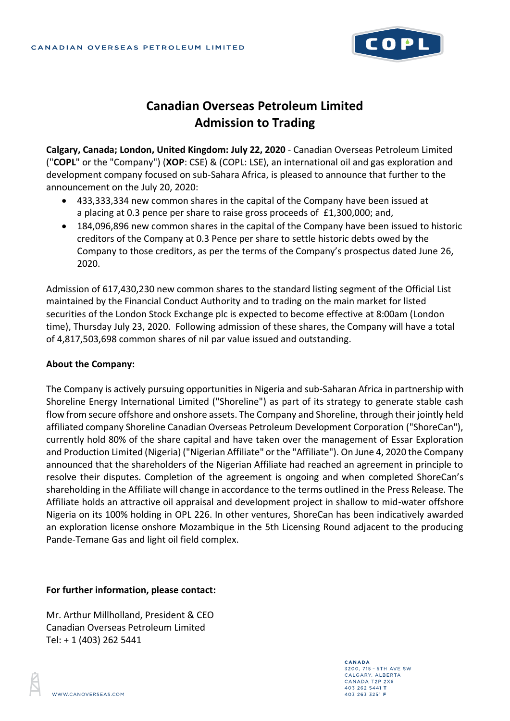

## **Canadian Overseas Petroleum Limited Admission to Trading**

**Calgary, Canada; London, United Kingdom: July 22, 2020** - Canadian Overseas Petroleum Limited ("**COPL**" or the "Company") (**XOP**: CSE) & (COPL: LSE), an international oil and gas exploration and development company focused on sub-Sahara Africa, is pleased to announce that further to the announcement on the July 20, 2020:

- 433,333,334 new common shares in the capital of the Company have been issued at a placing at 0.3 pence per share to raise gross proceeds of £1,300,000; and,
- 184,096,896 new common shares in the capital of the Company have been issued to historic creditors of the Company at 0.3 Pence per share to settle historic debts owed by the Company to those creditors, as per the terms of the Company's prospectus dated June 26, 2020.

Admission of 617,430,230 new common shares to the standard listing segment of the Official List maintained by the Financial Conduct Authority and to trading on the main market for listed securities of the London Stock Exchange plc is expected to become effective at 8:00am (London time), Thursday July 23, 2020. Following admission of these shares, the Company will have a total of 4,817,503,698 common shares of nil par value issued and outstanding.

## **About the Company:**

The Company is actively pursuing opportunities in Nigeria and sub-Saharan Africa in partnership with Shoreline Energy International Limited ("Shoreline") as part of its strategy to generate stable cash flow from secure offshore and onshore assets. The Company and Shoreline, through their jointly held affiliated company Shoreline Canadian Overseas Petroleum Development Corporation ("ShoreCan"), currently hold 80% of the share capital and have taken over the management of Essar Exploration and Production Limited (Nigeria) ("Nigerian Affiliate" or the "Affiliate"). On June 4, 2020 the Company announced that the shareholders of the Nigerian Affiliate had reached an agreement in principle to resolve their disputes. Completion of the agreement is ongoing and when completed ShoreCan's shareholding in the Affiliate will change in accordance to the terms outlined in the Press Release. The Affiliate holds an attractive oil appraisal and development project in shallow to mid-water offshore Nigeria on its 100% holding in OPL 226. In other ventures, ShoreCan has been indicatively awarded an exploration license onshore Mozambique in the 5th Licensing Round adjacent to the producing Pande-Temane Gas and light oil field complex.

## **For further information, please contact:**

Mr. Arthur Millholland, President & CEO Canadian Overseas Petroleum Limited Tel: + 1 (403) 262 5441